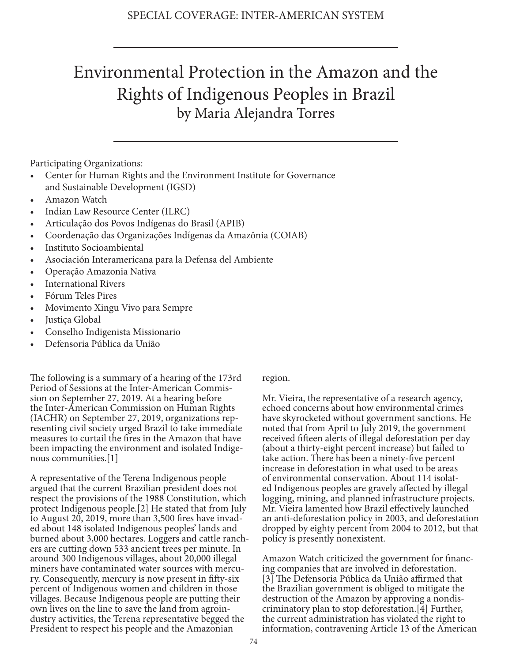## Environmental Protection in the Amazon and the Rights of Indigenous Peoples in Brazil by Maria Alejandra Torres

Participating Organizations:

- Center for Human Rights and the Environment Institute for Governance and Sustainable Development (IGSD)
- Amazon Watch
- Indian Law Resource Center (ILRC)
- Articulação dos Povos Indígenas do Brasil (APIB)
- Coordenação das Organizações Indígenas da Amazônia (COIAB)
- Instituto Socioambiental
- Asociación Interamericana para la Defensa del Ambiente
- Operação Amazonia Nativa
- International Rivers
- Fórum Teles Pires
- Movimento Xingu Vivo para Sempre
- Justiça Global
- Conselho Indigenista Missionario
- Defensoria Pública da União

The following is a summary of a hearing of the 173rd Period of Sessions at the Inter-American Commission on September 27, 2019. At a hearing before the Inter-American Commission on Human Rights (IACHR) on September 27, 2019, organizations representing civil society urged Brazil to take immediate measures to curtail the fires in the Amazon that have been impacting the environment and isolated Indigenous communities.[1]

A representative of the Terena Indigenous people argued that the current Brazilian president does not respect the provisions of the 1988 Constitution, which protect Indigenous people.[2] He stated that from July to August 20, 2019, more than 3,500 fires have invaded about 148 isolated Indigenous peoples' lands and burned about 3,000 hectares. Loggers and cattle ranchers are cutting down 533 ancient trees per minute. In around 300 Indigenous villages, about 20,000 illegal miners have contaminated water sources with mercury. Consequently, mercury is now present in fifty-six percent of Indigenous women and children in those villages. Because Indigenous people are putting their own lives on the line to save the land from agroindustry activities, the Terena representative begged the President to respect his people and the Amazonian

region.

Mr. Vieira, the representative of a research agency, echoed concerns about how environmental crimes have skyrocketed without government sanctions. He noted that from April to July 2019, the government received fifteen alerts of illegal deforestation per day (about a thirty-eight percent increase) but failed to take action. There has been a ninety-five percent increase in deforestation in what used to be areas of environmental conservation. About 114 isolated Indigenous peoples are gravely affected by illegal logging, mining, and planned infrastructure projects. Mr. Vieira lamented how Brazil effectively launched an anti-deforestation policy in 2003, and deforestation dropped by eighty percent from 2004 to 2012, but that policy is presently nonexistent.

Amazon Watch criticized the government for financing companies that are involved in deforestation. [3] The Defensoria Pública da União affirmed that the Brazilian government is obliged to mitigate the destruction of the Amazon by approving a nondiscriminatory plan to stop deforestation.[4] Further, the current administration has violated the right to information, contravening Article 13 of the American